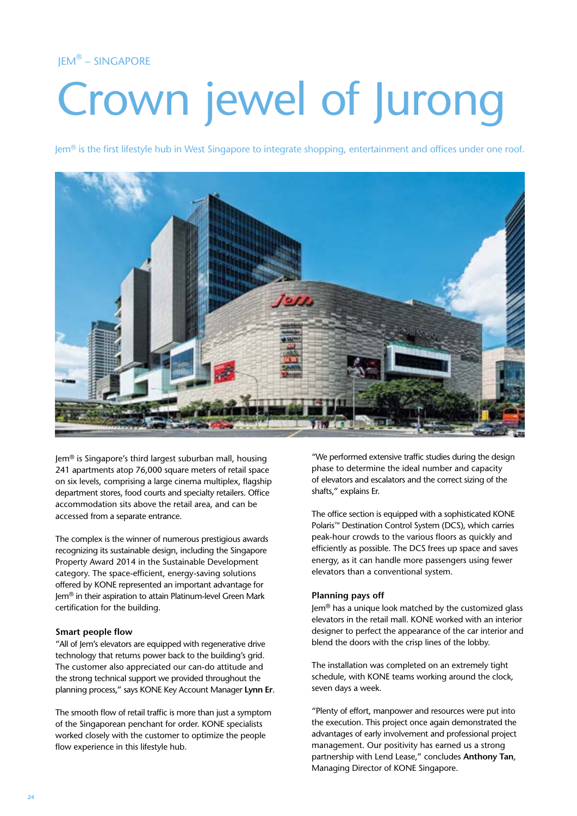# JEM® – SINGAPORE

# Crown jewel of Jurong

 $\text{Jem}^{\otimes}$  is the first lifestyle hub in West Singapore to integrate shopping, entertainment and offices under one roof.



Jem® is Singapore's third largest suburban mall, housing 241 apartments atop 76,000 square meters of retail space on six levels, comprising a large cinema multiplex, flagship department stores, food courts and specialty retailers. Office accommodation sits above the retail area, and can be accessed from a separate entrance.

The complex is the winner of numerous prestigious awards recognizing its sustainable design, including the Singapore Property Award 2014 in the Sustainable Development category. The space-efficient, energy-saving solutions offered by KONE represented an important advantage for Jem® in their aspiration to attain Platinum-level Green Mark certification for the building.

### **Smart people flow**

"All of Jem's elevators are equipped with regenerative drive technology that returns power back to the building's grid. The customer also appreciated our can-do attitude and the strong technical support we provided throughout the planning process," says KONE Key Account Manager **Lynn Er**.

The smooth flow of retail traffic is more than just a symptom of the Singaporean penchant for order. KONE specialists worked closely with the customer to optimize the people flow experience in this lifestyle hub.

"We performed extensive traffic studies during the design phase to determine the ideal number and capacity of elevators and escalators and the correct sizing of the shafts," explains Er.

The office section is equipped with a sophisticated KONE Polaris™ Destination Control System (DCS), which carries peak-hour crowds to the various floors as quickly and efficiently as possible. The DCS frees up space and saves energy, as it can handle more passengers using fewer elevators than a conventional system.

### **Planning pays off**

Jem® has a unique look matched by the customized glass elevators in the retail mall. KONE worked with an interior designer to perfect the appearance of the car interior and blend the doors with the crisp lines of the lobby.

The installation was completed on an extremely tight schedule, with KONE teams working around the clock, seven days a week.

"Plenty of effort, manpower and resources were put into the execution. This project once again demonstrated the advantages of early involvement and professional project management. Our positivity has earned us a strong partnership with Lend Lease," concludes **Anthony Tan**, Managing Director of KONE Singapore.